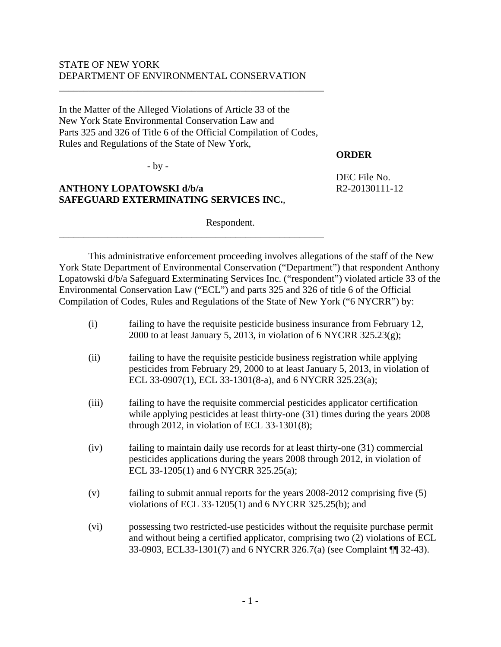## STATE OF NEW YORK DEPARTMENT OF ENVIRONMENTAL CONSERVATION

In the Matter of the Alleged Violations of Article 33 of the New York State Environmental Conservation Law and Parts 325 and 326 of Title 6 of the Official Compilation of Codes, Rules and Regulations of the State of New York,

\_\_\_\_\_\_\_\_\_\_\_\_\_\_\_\_\_\_\_\_\_\_\_\_\_\_\_\_\_\_\_\_\_\_\_\_\_\_\_\_\_\_\_\_\_\_\_\_\_\_\_\_\_\_

\_\_\_\_\_\_\_\_\_\_\_\_\_\_\_\_\_\_\_\_\_\_\_\_\_\_\_\_\_\_\_\_\_\_\_\_\_\_\_\_\_\_\_\_\_\_\_\_\_\_\_\_\_\_

- by -

## **ANTHONY LOPATOWSKI d/b/a**  $R2-20130111-12$ **SAFEGUARD EXTERMINATING SERVICES INC.**,

Respondent.

 This administrative enforcement proceeding involves allegations of the staff of the New York State Department of Environmental Conservation ("Department") that respondent Anthony Lopatowski d/b/a Safeguard Exterminating Services Inc. ("respondent") violated article 33 of the Environmental Conservation Law ("ECL") and parts 325 and 326 of title 6 of the Official Compilation of Codes, Rules and Regulations of the State of New York ("6 NYCRR") by:

- (i) failing to have the requisite pesticide business insurance from February 12, 2000 to at least January 5, 2013, in violation of  $6$  NYCRR 325.23 $(g)$ ;
- (ii) failing to have the requisite pesticide business registration while applying pesticides from February 29, 2000 to at least January 5, 2013, in violation of ECL 33-0907(1), ECL 33-1301(8-a), and 6 NYCRR 325.23(a);
- (iii) failing to have the requisite commercial pesticides applicator certification while applying pesticides at least thirty-one  $(31)$  times during the years 2008 through 2012, in violation of ECL 33-1301(8);
- (iv) failing to maintain daily use records for at least thirty-one (31) commercial pesticides applications during the years 2008 through 2012, in violation of ECL 33-1205(1) and 6 NYCRR 325.25(a);
- (v) failing to submit annual reports for the years 2008-2012 comprising five (5) violations of ECL 33-1205(1) and 6 NYCRR 325.25(b); and
- (vi) possessing two restricted-use pesticides without the requisite purchase permit and without being a certified applicator, comprising two (2) violations of ECL 33-0903, ECL33-1301(7) and 6 NYCRR 326.7(a) (see Complaint ¶¶ 32-43).

- 1 -

**ORDER** 

DEC File No.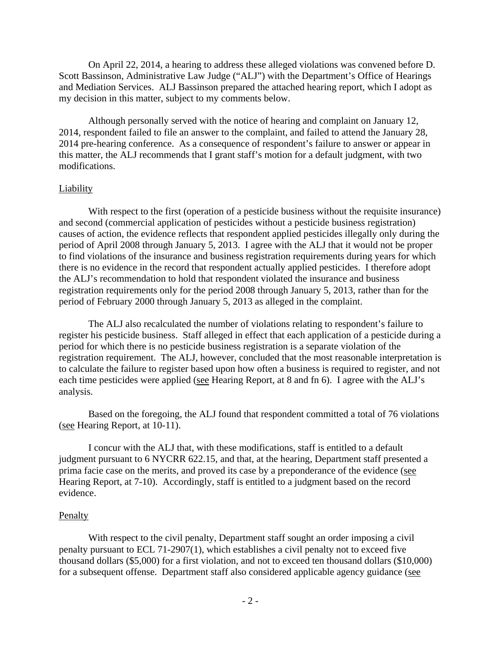On April 22, 2014, a hearing to address these alleged violations was convened before D. Scott Bassinson, Administrative Law Judge ("ALJ") with the Department's Office of Hearings and Mediation Services. ALJ Bassinson prepared the attached hearing report, which I adopt as my decision in this matter, subject to my comments below.

Although personally served with the notice of hearing and complaint on January 12, 2014, respondent failed to file an answer to the complaint, and failed to attend the January 28, 2014 pre-hearing conference. As a consequence of respondent's failure to answer or appear in this matter, the ALJ recommends that I grant staff's motion for a default judgment, with two modifications.

#### Liability

With respect to the first (operation of a pesticide business without the requisite insurance) and second (commercial application of pesticides without a pesticide business registration) causes of action, the evidence reflects that respondent applied pesticides illegally only during the period of April 2008 through January 5, 2013. I agree with the ALJ that it would not be proper to find violations of the insurance and business registration requirements during years for which there is no evidence in the record that respondent actually applied pesticides. I therefore adopt the ALJ's recommendation to hold that respondent violated the insurance and business registration requirements only for the period 2008 through January 5, 2013, rather than for the period of February 2000 through January 5, 2013 as alleged in the complaint.

The ALJ also recalculated the number of violations relating to respondent's failure to register his pesticide business. Staff alleged in effect that each application of a pesticide during a period for which there is no pesticide business registration is a separate violation of the registration requirement. The ALJ, however, concluded that the most reasonable interpretation is to calculate the failure to register based upon how often a business is required to register, and not each time pesticides were applied (see Hearing Report, at 8 and fn 6). I agree with the ALJ's analysis.

Based on the foregoing, the ALJ found that respondent committed a total of 76 violations (see Hearing Report, at 10-11).

I concur with the ALJ that, with these modifications, staff is entitled to a default judgment pursuant to 6 NYCRR 622.15, and that, at the hearing, Department staff presented a prima facie case on the merits, and proved its case by a preponderance of the evidence (see Hearing Report, at 7-10). Accordingly, staff is entitled to a judgment based on the record evidence.

#### **Penalty**

With respect to the civil penalty, Department staff sought an order imposing a civil penalty pursuant to ECL 71-2907(1), which establishes a civil penalty not to exceed five thousand dollars (\$5,000) for a first violation, and not to exceed ten thousand dollars (\$10,000) for a subsequent offense. Department staff also considered applicable agency guidance (see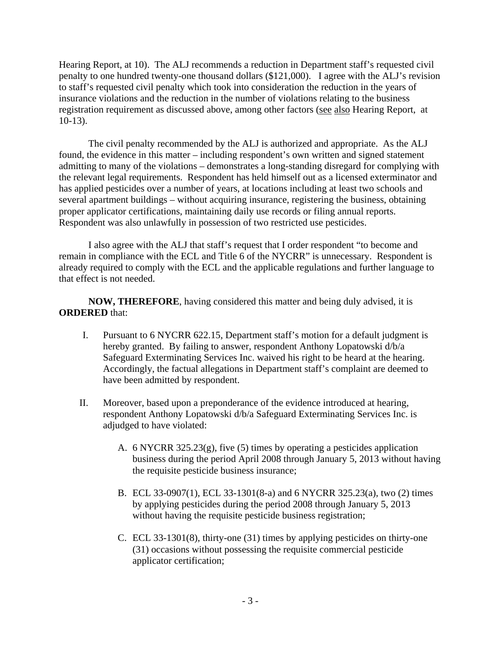Hearing Report, at 10). The ALJ recommends a reduction in Department staff's requested civil penalty to one hundred twenty-one thousand dollars (\$121,000). I agree with the ALJ's revision to staff's requested civil penalty which took into consideration the reduction in the years of insurance violations and the reduction in the number of violations relating to the business registration requirement as discussed above, among other factors (see also Hearing Report, at 10-13).

The civil penalty recommended by the ALJ is authorized and appropriate. As the ALJ found, the evidence in this matter – including respondent's own written and signed statement admitting to many of the violations – demonstrates a long-standing disregard for complying with the relevant legal requirements. Respondent has held himself out as a licensed exterminator and has applied pesticides over a number of years, at locations including at least two schools and several apartment buildings – without acquiring insurance, registering the business, obtaining proper applicator certifications, maintaining daily use records or filing annual reports. Respondent was also unlawfully in possession of two restricted use pesticides.

I also agree with the ALJ that staff's request that I order respondent "to become and remain in compliance with the ECL and Title 6 of the NYCRR" is unnecessary. Respondent is already required to comply with the ECL and the applicable regulations and further language to that effect is not needed.

**NOW, THEREFORE**, having considered this matter and being duly advised, it is **ORDERED** that:

- I. Pursuant to 6 NYCRR 622.15, Department staff's motion for a default judgment is hereby granted. By failing to answer, respondent Anthony Lopatowski d/b/a Safeguard Exterminating Services Inc. waived his right to be heard at the hearing. Accordingly, the factual allegations in Department staff's complaint are deemed to have been admitted by respondent.
- II. Moreover, based upon a preponderance of the evidence introduced at hearing, respondent Anthony Lopatowski d/b/a Safeguard Exterminating Services Inc. is adjudged to have violated:
	- A. 6 NYCRR 325.23(g), five (5) times by operating a pesticides application business during the period April 2008 through January 5, 2013 without having the requisite pesticide business insurance;
	- B. ECL 33-0907(1), ECL 33-1301(8-a) and 6 NYCRR 325.23(a), two (2) times by applying pesticides during the period 2008 through January 5, 2013 without having the requisite pesticide business registration;
	- C. ECL 33-1301(8), thirty-one (31) times by applying pesticides on thirty-one (31) occasions without possessing the requisite commercial pesticide applicator certification;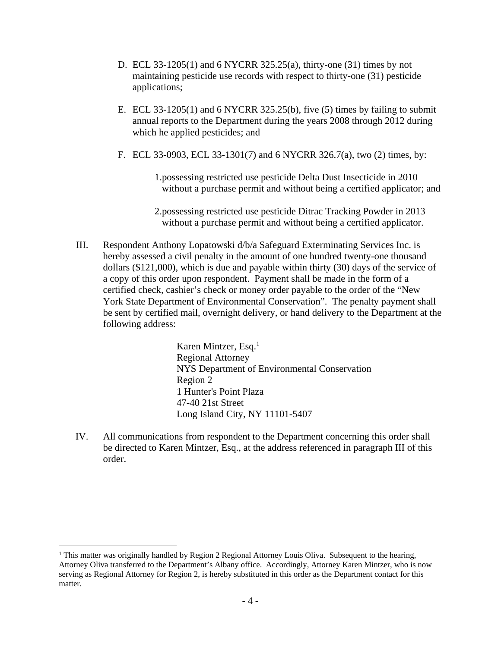- D. ECL 33-1205(1) and 6 NYCRR 325.25(a), thirty-one (31) times by not maintaining pesticide use records with respect to thirty-one (31) pesticide applications;
- E. ECL 33-1205(1) and 6 NYCRR 325.25(b), five (5) times by failing to submit annual reports to the Department during the years 2008 through 2012 during which he applied pesticides; and
- F. ECL 33-0903, ECL 33-1301(7) and 6 NYCRR 326.7(a), two (2) times, by:
	- 1.possessing restricted use pesticide Delta Dust Insecticide in 2010 without a purchase permit and without being a certified applicator; and
	- 2.possessing restricted use pesticide Ditrac Tracking Powder in 2013 without a purchase permit and without being a certified applicator.
- III. Respondent Anthony Lopatowski d/b/a Safeguard Exterminating Services Inc. is hereby assessed a civil penalty in the amount of one hundred twenty-one thousand dollars (\$121,000), which is due and payable within thirty (30) days of the service of a copy of this order upon respondent. Payment shall be made in the form of a certified check, cashier's check or money order payable to the order of the "New York State Department of Environmental Conservation". The penalty payment shall be sent by certified mail, overnight delivery, or hand delivery to the Department at the following address:

Karen Mintzer, Esq.1 Regional Attorney NYS Department of Environmental Conservation Region 2 1 Hunter's Point Plaza 47-40 21st Street Long Island City, NY 11101-5407

IV. All communications from respondent to the Department concerning this order shall be directed to Karen Mintzer, Esq., at the address referenced in paragraph III of this order.

 $\overline{a}$ 

<sup>&</sup>lt;sup>1</sup> This matter was originally handled by Region 2 Regional Attorney Louis Oliva. Subsequent to the hearing, Attorney Oliva transferred to the Department's Albany office. Accordingly, Attorney Karen Mintzer, who is now serving as Regional Attorney for Region 2, is hereby substituted in this order as the Department contact for this matter.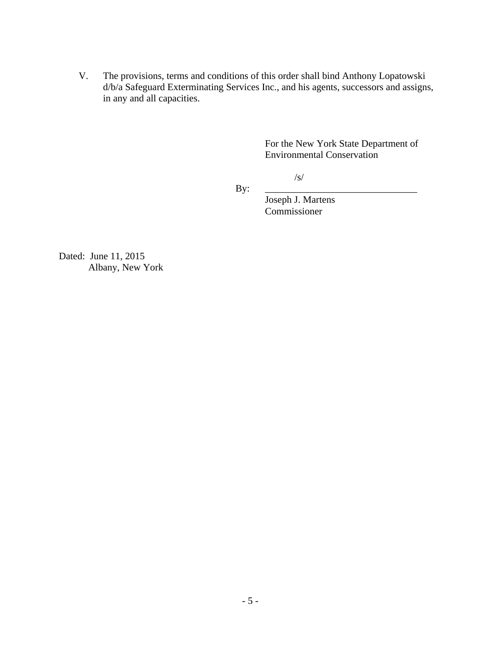V. The provisions, terms and conditions of this order shall bind Anthony Lopatowski d/b/a Safeguard Exterminating Services Inc., and his agents, successors and assigns, in any and all capacities.

> For the New York State Department of Environmental Conservation

 $\sqrt{s/2}$ 

By: \_\_\_\_\_\_\_\_\_\_\_\_\_\_\_\_\_\_\_\_\_\_\_\_\_\_\_\_\_\_\_

 Joseph J. Martens Commissioner

Dated: June 11, 2015 Albany, New York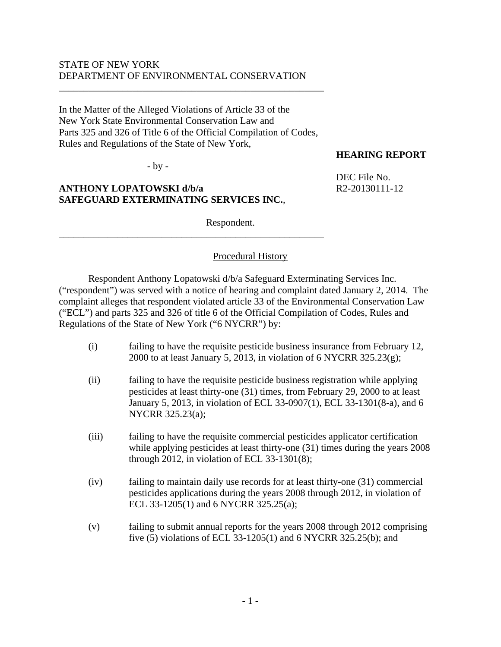## STATE OF NEW YORK DEPARTMENT OF ENVIRONMENTAL CONSERVATION

In the Matter of the Alleged Violations of Article 33 of the New York State Environmental Conservation Law and Parts 325 and 326 of Title 6 of the Official Compilation of Codes, Rules and Regulations of the State of New York,

\_\_\_\_\_\_\_\_\_\_\_\_\_\_\_\_\_\_\_\_\_\_\_\_\_\_\_\_\_\_\_\_\_\_\_\_\_\_\_\_\_\_\_\_\_\_\_\_\_\_\_\_\_\_

\_\_\_\_\_\_\_\_\_\_\_\_\_\_\_\_\_\_\_\_\_\_\_\_\_\_\_\_\_\_\_\_\_\_\_\_\_\_\_\_\_\_\_\_\_\_\_\_\_\_\_\_\_\_

- by -

## **ANTHONY LOPATOWSKI d/b/a**  $R2-20130111-12$ **SAFEGUARD EXTERMINATING SERVICES INC.**,

Respondent.

### Procedural History

 Respondent Anthony Lopatowski d/b/a Safeguard Exterminating Services Inc. ("respondent") was served with a notice of hearing and complaint dated January 2, 2014. The complaint alleges that respondent violated article 33 of the Environmental Conservation Law ("ECL") and parts 325 and 326 of title 6 of the Official Compilation of Codes, Rules and Regulations of the State of New York ("6 NYCRR") by:

- (i) failing to have the requisite pesticide business insurance from February 12, 2000 to at least January 5, 2013, in violation of  $6$  NYCRR 325.23 $(g)$ ;
- (ii) failing to have the requisite pesticide business registration while applying pesticides at least thirty-one (31) times, from February 29, 2000 to at least January 5, 2013, in violation of ECL 33-0907(1), ECL 33-1301(8-a), and 6 NYCRR 325.23(a);
- (iii) failing to have the requisite commercial pesticides applicator certification while applying pesticides at least thirty-one (31) times during the years 2008 through 2012, in violation of ECL 33-1301(8);
- (iv) failing to maintain daily use records for at least thirty-one (31) commercial pesticides applications during the years 2008 through 2012, in violation of ECL 33-1205(1) and 6 NYCRR 325.25(a);
- (v) failing to submit annual reports for the years 2008 through 2012 comprising five (5) violations of ECL 33-1205(1) and 6 NYCRR 325.25(b); and

DEC File No.

**HEARING REPORT**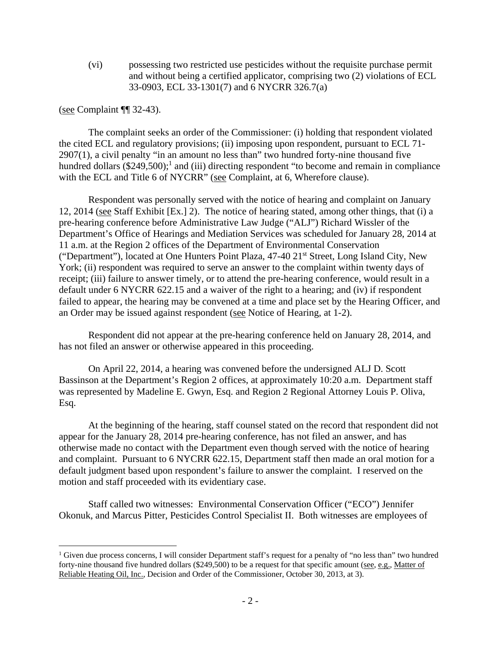(vi) possessing two restricted use pesticides without the requisite purchase permit and without being a certified applicator, comprising two (2) violations of ECL 33-0903, ECL 33-1301(7) and 6 NYCRR 326.7(a)

(see Complaint ¶¶ 32-43).

<u>.</u>

 The complaint seeks an order of the Commissioner: (i) holding that respondent violated the cited ECL and regulatory provisions; (ii) imposing upon respondent, pursuant to ECL 71- 2907(1), a civil penalty "in an amount no less than" two hundred forty-nine thousand five hundred dollars  $(\$249,500)$ ;<sup>1</sup> and (iii) directing respondent "to become and remain in compliance with the ECL and Title 6 of NYCRR" (see Complaint, at 6, Wherefore clause).

 Respondent was personally served with the notice of hearing and complaint on January 12, 2014 (see Staff Exhibit [Ex.] 2). The notice of hearing stated, among other things, that (i) a pre-hearing conference before Administrative Law Judge ("ALJ") Richard Wissler of the Department's Office of Hearings and Mediation Services was scheduled for January 28, 2014 at 11 a.m. at the Region 2 offices of the Department of Environmental Conservation ("Department"), located at One Hunters Point Plaza, 47-40 21st Street, Long Island City, New York; (ii) respondent was required to serve an answer to the complaint within twenty days of receipt; (iii) failure to answer timely, or to attend the pre-hearing conference, would result in a default under 6 NYCRR 622.15 and a waiver of the right to a hearing; and (iv) if respondent failed to appear, the hearing may be convened at a time and place set by the Hearing Officer, and an Order may be issued against respondent (see Notice of Hearing, at 1-2).

 Respondent did not appear at the pre-hearing conference held on January 28, 2014, and has not filed an answer or otherwise appeared in this proceeding.

On April 22, 2014, a hearing was convened before the undersigned ALJ D. Scott Bassinson at the Department's Region 2 offices, at approximately 10:20 a.m. Department staff was represented by Madeline E. Gwyn, Esq. and Region 2 Regional Attorney Louis P. Oliva, Esq.

At the beginning of the hearing, staff counsel stated on the record that respondent did not appear for the January 28, 2014 pre-hearing conference, has not filed an answer, and has otherwise made no contact with the Department even though served with the notice of hearing and complaint. Pursuant to 6 NYCRR 622.15, Department staff then made an oral motion for a default judgment based upon respondent's failure to answer the complaint. I reserved on the motion and staff proceeded with its evidentiary case.

Staff called two witnesses: Environmental Conservation Officer ("ECO") Jennifer Okonuk, and Marcus Pitter, Pesticides Control Specialist II. Both witnesses are employees of

<sup>&</sup>lt;sup>1</sup> Given due process concerns, I will consider Department staff's request for a penalty of "no less than" two hundred forty-nine thousand five hundred dollars (\$249,500) to be a request for that specific amount (see, e.g., Matter of Reliable Heating Oil, Inc., Decision and Order of the Commissioner, October 30, 2013, at 3).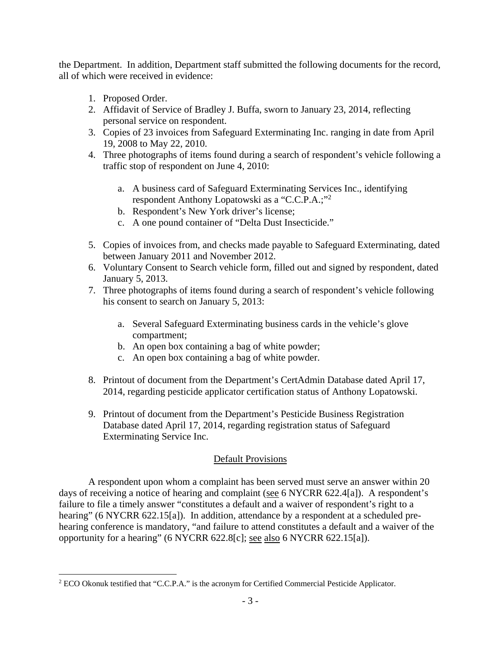the Department. In addition, Department staff submitted the following documents for the record, all of which were received in evidence:

1. Proposed Order.

 $\overline{a}$ 

- 2. Affidavit of Service of Bradley J. Buffa, sworn to January 23, 2014, reflecting personal service on respondent.
- 3. Copies of 23 invoices from Safeguard Exterminating Inc. ranging in date from April 19, 2008 to May 22, 2010.
- 4. Three photographs of items found during a search of respondent's vehicle following a traffic stop of respondent on June 4, 2010:
	- a. A business card of Safeguard Exterminating Services Inc., identifying respondent Anthony Lopatowski as a "C.C.P.A.;"<sup>2</sup>
	- b. Respondent's New York driver's license;
	- c. A one pound container of "Delta Dust Insecticide."
- 5. Copies of invoices from, and checks made payable to Safeguard Exterminating, dated between January 2011 and November 2012.
- 6. Voluntary Consent to Search vehicle form, filled out and signed by respondent, dated January 5, 2013.
- 7. Three photographs of items found during a search of respondent's vehicle following his consent to search on January 5, 2013:
	- a. Several Safeguard Exterminating business cards in the vehicle's glove compartment;
	- b. An open box containing a bag of white powder;
	- c. An open box containing a bag of white powder.
- 8. Printout of document from the Department's CertAdmin Database dated April 17, 2014, regarding pesticide applicator certification status of Anthony Lopatowski.
- 9. Printout of document from the Department's Pesticide Business Registration Database dated April 17, 2014, regarding registration status of Safeguard Exterminating Service Inc.

## Default Provisions

 A respondent upon whom a complaint has been served must serve an answer within 20 days of receiving a notice of hearing and complaint (see 6 NYCRR 622.4[a]). A respondent's failure to file a timely answer "constitutes a default and a waiver of respondent's right to a hearing" (6 NYCRR 622.15[a]). In addition, attendance by a respondent at a scheduled prehearing conference is mandatory, "and failure to attend constitutes a default and a waiver of the opportunity for a hearing" (6 NYCRR 622.8[c]; see also 6 NYCRR 622.15[a]).

<sup>&</sup>lt;sup>2</sup> ECO Okonuk testified that "C.C.P.A." is the acronym for Certified Commercial Pesticide Applicator.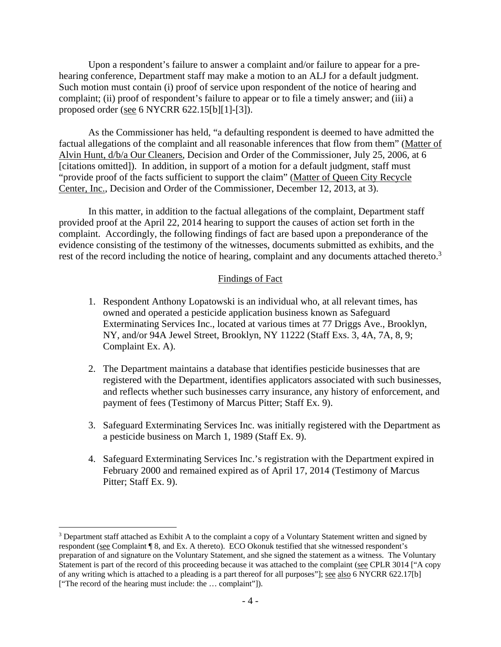Upon a respondent's failure to answer a complaint and/or failure to appear for a prehearing conference, Department staff may make a motion to an ALJ for a default judgment. Such motion must contain (i) proof of service upon respondent of the notice of hearing and complaint; (ii) proof of respondent's failure to appear or to file a timely answer; and (iii) a proposed order (see 6 NYCRR 622.15[b][1]-[3]).

 As the Commissioner has held, "a defaulting respondent is deemed to have admitted the factual allegations of the complaint and all reasonable inferences that flow from them" (Matter of Alvin Hunt, d/b/a Our Cleaners, Decision and Order of the Commissioner, July 25, 2006, at 6 [citations omitted]). In addition, in support of a motion for a default judgment, staff must "provide proof of the facts sufficient to support the claim" (Matter of Queen City Recycle Center, Inc., Decision and Order of the Commissioner, December 12, 2013, at 3).

 In this matter, in addition to the factual allegations of the complaint, Department staff provided proof at the April 22, 2014 hearing to support the causes of action set forth in the complaint. Accordingly, the following findings of fact are based upon a preponderance of the evidence consisting of the testimony of the witnesses, documents submitted as exhibits, and the rest of the record including the notice of hearing, complaint and any documents attached thereto.<sup>3</sup>

### Findings of Fact

- 1. Respondent Anthony Lopatowski is an individual who, at all relevant times, has owned and operated a pesticide application business known as Safeguard Exterminating Services Inc., located at various times at 77 Driggs Ave., Brooklyn, NY, and/or 94A Jewel Street, Brooklyn, NY 11222 (Staff Exs. 3, 4A, 7A, 8, 9; Complaint Ex. A).
- 2. The Department maintains a database that identifies pesticide businesses that are registered with the Department, identifies applicators associated with such businesses, and reflects whether such businesses carry insurance, any history of enforcement, and payment of fees (Testimony of Marcus Pitter; Staff Ex. 9).
- 3. Safeguard Exterminating Services Inc. was initially registered with the Department as a pesticide business on March 1, 1989 (Staff Ex. 9).
- 4. Safeguard Exterminating Services Inc.'s registration with the Department expired in February 2000 and remained expired as of April 17, 2014 (Testimony of Marcus Pitter; Staff Ex. 9).

 $\overline{a}$ <sup>3</sup> Department staff attached as Exhibit A to the complaint a copy of a Voluntary Statement written and signed by respondent (see Complaint ¶ 8, and Ex. A thereto). ECO Okonuk testified that she witnessed respondent's preparation of and signature on the Voluntary Statement, and she signed the statement as a witness. The Voluntary Statement is part of the record of this proceeding because it was attached to the complaint (see CPLR 3014 ["A copy of any writing which is attached to a pleading is a part thereof for all purposes"]; see also 6 NYCRR 622.17[b] ["The record of the hearing must include: the … complaint"]).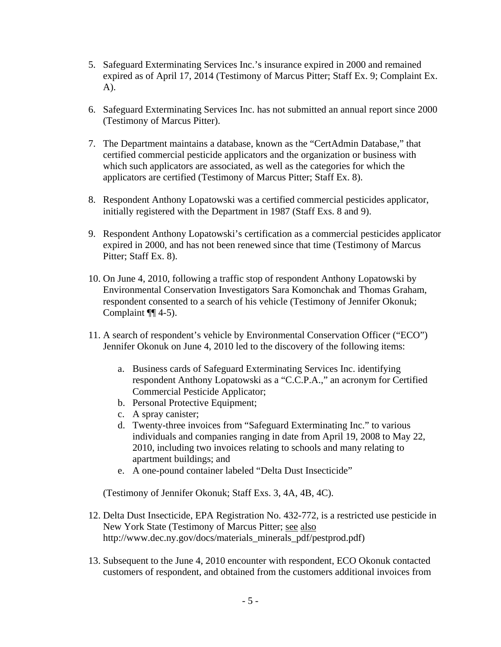- 5. Safeguard Exterminating Services Inc.'s insurance expired in 2000 and remained expired as of April 17, 2014 (Testimony of Marcus Pitter; Staff Ex. 9; Complaint Ex. A).
- 6. Safeguard Exterminating Services Inc. has not submitted an annual report since 2000 (Testimony of Marcus Pitter).
- 7. The Department maintains a database, known as the "CertAdmin Database," that certified commercial pesticide applicators and the organization or business with which such applicators are associated, as well as the categories for which the applicators are certified (Testimony of Marcus Pitter; Staff Ex. 8).
- 8. Respondent Anthony Lopatowski was a certified commercial pesticides applicator, initially registered with the Department in 1987 (Staff Exs. 8 and 9).
- 9. Respondent Anthony Lopatowski's certification as a commercial pesticides applicator expired in 2000, and has not been renewed since that time (Testimony of Marcus Pitter; Staff Ex. 8).
- 10. On June 4, 2010, following a traffic stop of respondent Anthony Lopatowski by Environmental Conservation Investigators Sara Komonchak and Thomas Graham, respondent consented to a search of his vehicle (Testimony of Jennifer Okonuk; Complaint ¶¶ 4-5).
- 11. A search of respondent's vehicle by Environmental Conservation Officer ("ECO") Jennifer Okonuk on June 4, 2010 led to the discovery of the following items:
	- a. Business cards of Safeguard Exterminating Services Inc. identifying respondent Anthony Lopatowski as a "C.C.P.A.," an acronym for Certified Commercial Pesticide Applicator;
	- b. Personal Protective Equipment;
	- c. A spray canister;
	- d. Twenty-three invoices from "Safeguard Exterminating Inc." to various individuals and companies ranging in date from April 19, 2008 to May 22, 2010, including two invoices relating to schools and many relating to apartment buildings; and
	- e. A one-pound container labeled "Delta Dust Insecticide"

(Testimony of Jennifer Okonuk; Staff Exs. 3, 4A, 4B, 4C).

- 12. Delta Dust Insecticide, EPA Registration No. 432-772, is a restricted use pesticide in New York State (Testimony of Marcus Pitter; see also http://www.dec.ny.gov/docs/materials\_minerals\_pdf/pestprod.pdf)
- 13. Subsequent to the June 4, 2010 encounter with respondent, ECO Okonuk contacted customers of respondent, and obtained from the customers additional invoices from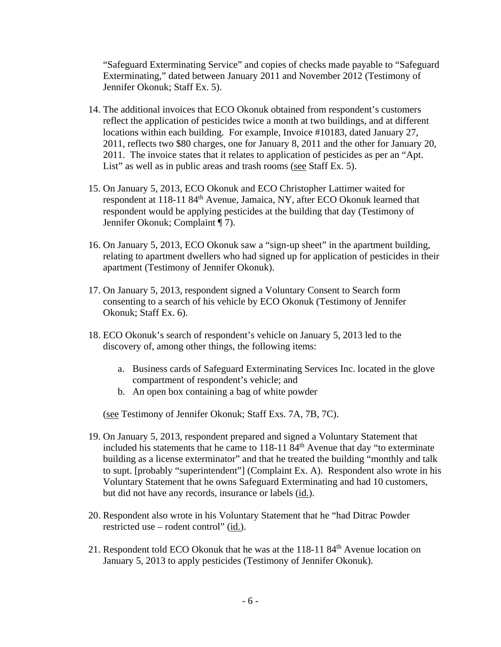"Safeguard Exterminating Service" and copies of checks made payable to "Safeguard Exterminating," dated between January 2011 and November 2012 (Testimony of Jennifer Okonuk; Staff Ex. 5).

- 14. The additional invoices that ECO Okonuk obtained from respondent's customers reflect the application of pesticides twice a month at two buildings, and at different locations within each building. For example, Invoice #10183, dated January 27, 2011, reflects two \$80 charges, one for January 8, 2011 and the other for January 20, 2011. The invoice states that it relates to application of pesticides as per an "Apt. List" as well as in public areas and trash rooms (see Staff Ex. 5).
- 15. On January 5, 2013, ECO Okonuk and ECO Christopher Lattimer waited for respondent at 118-11 84<sup>th</sup> Avenue, Jamaica, NY, after ECO Okonuk learned that respondent would be applying pesticides at the building that day (Testimony of Jennifer Okonuk; Complaint ¶ 7).
- 16. On January 5, 2013, ECO Okonuk saw a "sign-up sheet" in the apartment building, relating to apartment dwellers who had signed up for application of pesticides in their apartment (Testimony of Jennifer Okonuk).
- 17. On January 5, 2013, respondent signed a Voluntary Consent to Search form consenting to a search of his vehicle by ECO Okonuk (Testimony of Jennifer Okonuk; Staff Ex. 6).
- 18. ECO Okonuk's search of respondent's vehicle on January 5, 2013 led to the discovery of, among other things, the following items:
	- a. Business cards of Safeguard Exterminating Services Inc. located in the glove compartment of respondent's vehicle; and
	- b. An open box containing a bag of white powder

(see Testimony of Jennifer Okonuk; Staff Exs. 7A, 7B, 7C).

- 19. On January 5, 2013, respondent prepared and signed a Voluntary Statement that included his statements that he came to  $118-1184<sup>th</sup>$  Avenue that day "to exterminate building as a license exterminator" and that he treated the building "monthly and talk to supt. [probably "superintendent"] (Complaint Ex. A). Respondent also wrote in his Voluntary Statement that he owns Safeguard Exterminating and had 10 customers, but did not have any records, insurance or labels (id.).
- 20. Respondent also wrote in his Voluntary Statement that he "had Ditrac Powder restricted use – rodent control" (id.).
- 21. Respondent told ECO Okonuk that he was at the  $118-1184<sup>th</sup>$  Avenue location on January 5, 2013 to apply pesticides (Testimony of Jennifer Okonuk).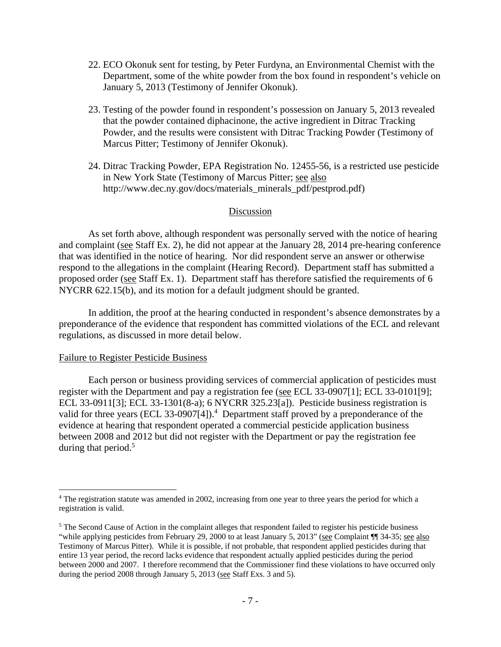- 22. ECO Okonuk sent for testing, by Peter Furdyna, an Environmental Chemist with the Department, some of the white powder from the box found in respondent's vehicle on January 5, 2013 (Testimony of Jennifer Okonuk).
- 23. Testing of the powder found in respondent's possession on January 5, 2013 revealed that the powder contained diphacinone, the active ingredient in Ditrac Tracking Powder, and the results were consistent with Ditrac Tracking Powder (Testimony of Marcus Pitter; Testimony of Jennifer Okonuk).
- 24. Ditrac Tracking Powder, EPA Registration No. 12455-56, is a restricted use pesticide in New York State (Testimony of Marcus Pitter; see also http://www.dec.ny.gov/docs/materials\_minerals\_pdf/pestprod.pdf)

#### **Discussion**

 As set forth above, although respondent was personally served with the notice of hearing and complaint (see Staff Ex. 2), he did not appear at the January 28, 2014 pre-hearing conference that was identified in the notice of hearing. Nor did respondent serve an answer or otherwise respond to the allegations in the complaint (Hearing Record). Department staff has submitted a proposed order (see Staff Ex. 1). Department staff has therefore satisfied the requirements of 6 NYCRR 622.15(b), and its motion for a default judgment should be granted.

In addition, the proof at the hearing conducted in respondent's absence demonstrates by a preponderance of the evidence that respondent has committed violations of the ECL and relevant regulations, as discussed in more detail below.

#### Failure to Register Pesticide Business

 $\overline{a}$ 

Each person or business providing services of commercial application of pesticides must register with the Department and pay a registration fee (see ECL 33-0907[1]; ECL 33-0101[9]; ECL 33-0911[3]; ECL 33-1301(8-a); 6 NYCRR 325.23[a]). Pesticide business registration is valid for three years (ECL 33-0907[4]).<sup>4</sup> Department staff proved by a preponderance of the evidence at hearing that respondent operated a commercial pesticide application business between 2008 and 2012 but did not register with the Department or pay the registration fee during that period.<sup>5</sup>

<sup>&</sup>lt;sup>4</sup> The registration statute was amended in 2002, increasing from one year to three years the period for which a registration is valid.

 $<sup>5</sup>$  The Second Cause of Action in the complaint alleges that respondent failed to register his pesticide business</sup> "while applying pesticides from February 29, 2000 to at least January 5, 2013" (see Complaint ¶¶ 34-35; see also Testimony of Marcus Pitter). While it is possible, if not probable, that respondent applied pesticides during that entire 13 year period, the record lacks evidence that respondent actually applied pesticides during the period between 2000 and 2007. I therefore recommend that the Commissioner find these violations to have occurred only during the period 2008 through January 5, 2013 (see Staff Exs. 3 and 5).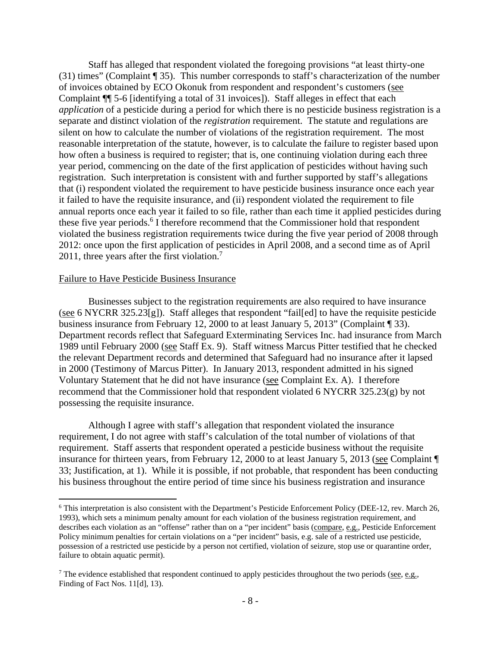Staff has alleged that respondent violated the foregoing provisions "at least thirty-one (31) times" (Complaint ¶ 35). This number corresponds to staff's characterization of the number of invoices obtained by ECO Okonuk from respondent and respondent's customers (see Complaint ¶¶ 5-6 [identifying a total of 31 invoices]). Staff alleges in effect that each *application* of a pesticide during a period for which there is no pesticide business registration is a separate and distinct violation of the *registration* requirement. The statute and regulations are silent on how to calculate the number of violations of the registration requirement. The most reasonable interpretation of the statute, however, is to calculate the failure to register based upon how often a business is required to register; that is, one continuing violation during each three year period, commencing on the date of the first application of pesticides without having such registration. Such interpretation is consistent with and further supported by staff's allegations that (i) respondent violated the requirement to have pesticide business insurance once each year it failed to have the requisite insurance, and (ii) respondent violated the requirement to file annual reports once each year it failed to so file, rather than each time it applied pesticides during these five year periods.<sup>6</sup> I therefore recommend that the Commissioner hold that respondent violated the business registration requirements twice during the five year period of 2008 through 2012: once upon the first application of pesticides in April 2008, and a second time as of April 2011, three years after the first violation.<sup>7</sup>

#### Failure to Have Pesticide Business Insurance

 $\overline{a}$ 

 Businesses subject to the registration requirements are also required to have insurance (see 6 NYCRR 325.23[g]). Staff alleges that respondent "fail[ed] to have the requisite pesticide business insurance from February 12, 2000 to at least January 5, 2013" (Complaint ¶ 33). Department records reflect that Safeguard Exterminating Services Inc. had insurance from March 1989 until February 2000 (see Staff Ex. 9). Staff witness Marcus Pitter testified that he checked the relevant Department records and determined that Safeguard had no insurance after it lapsed in 2000 (Testimony of Marcus Pitter). In January 2013, respondent admitted in his signed Voluntary Statement that he did not have insurance (see Complaint Ex. A). I therefore recommend that the Commissioner hold that respondent violated 6 NYCRR 325.23(g) by not possessing the requisite insurance.

 Although I agree with staff's allegation that respondent violated the insurance requirement, I do not agree with staff's calculation of the total number of violations of that requirement. Staff asserts that respondent operated a pesticide business without the requisite insurance for thirteen years, from February 12, 2000 to at least January 5, 2013 (see Complaint ¶ 33; Justification, at 1). While it is possible, if not probable, that respondent has been conducting his business throughout the entire period of time since his business registration and insurance

<sup>6</sup> This interpretation is also consistent with the Department's Pesticide Enforcement Policy (DEE-12, rev. March 26, 1993), which sets a minimum penalty amount for each violation of the business registration requirement, and describes each violation as an "offense" rather than on a "per incident" basis (compare, e.g., Pesticide Enforcement Policy minimum penalties for certain violations on a "per incident" basis, e.g. sale of a restricted use pesticide, possession of a restricted use pesticide by a person not certified, violation of seizure, stop use or quarantine order, failure to obtain aquatic permit).

<sup>&</sup>lt;sup>7</sup> The evidence established that respondent continued to apply pesticides throughout the two periods (see, e.g., Finding of Fact Nos. 11[d], 13).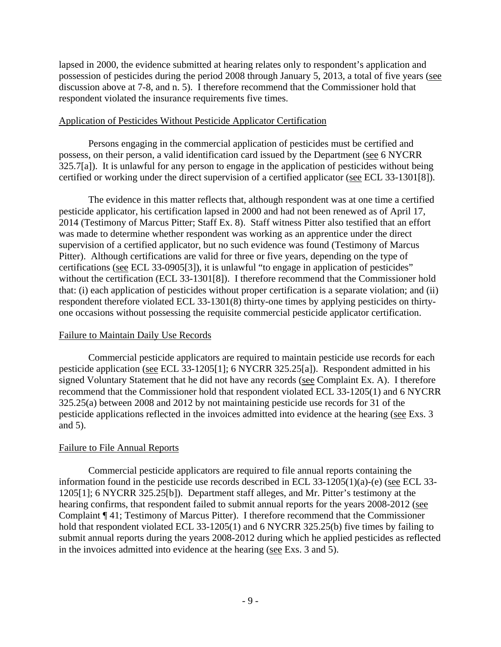lapsed in 2000, the evidence submitted at hearing relates only to respondent's application and possession of pesticides during the period 2008 through January 5, 2013, a total of five years (see discussion above at 7-8, and n. 5). I therefore recommend that the Commissioner hold that respondent violated the insurance requirements five times.

## Application of Pesticides Without Pesticide Applicator Certification

 Persons engaging in the commercial application of pesticides must be certified and possess, on their person, a valid identification card issued by the Department (see 6 NYCRR 325.7[a]). It is unlawful for any person to engage in the application of pesticides without being certified or working under the direct supervision of a certified applicator (see ECL 33-1301[8]).

 The evidence in this matter reflects that, although respondent was at one time a certified pesticide applicator, his certification lapsed in 2000 and had not been renewed as of April 17, 2014 (Testimony of Marcus Pitter; Staff Ex. 8). Staff witness Pitter also testified that an effort was made to determine whether respondent was working as an apprentice under the direct supervision of a certified applicator, but no such evidence was found (Testimony of Marcus Pitter). Although certifications are valid for three or five years, depending on the type of certifications (see ECL 33-0905[3]), it is unlawful "to engage in application of pesticides" without the certification (ECL 33-1301[8]). I therefore recommend that the Commissioner hold that: (i) each application of pesticides without proper certification is a separate violation; and (ii) respondent therefore violated ECL 33-1301(8) thirty-one times by applying pesticides on thirtyone occasions without possessing the requisite commercial pesticide applicator certification.

## Failure to Maintain Daily Use Records

 Commercial pesticide applicators are required to maintain pesticide use records for each pesticide application (see ECL 33-1205[1]; 6 NYCRR 325.25[a]). Respondent admitted in his signed Voluntary Statement that he did not have any records (see Complaint Ex. A). I therefore recommend that the Commissioner hold that respondent violated ECL 33-1205(1) and 6 NYCRR 325.25(a) between 2008 and 2012 by not maintaining pesticide use records for 31 of the pesticide applications reflected in the invoices admitted into evidence at the hearing (see Exs. 3 and 5).

## Failure to File Annual Reports

 Commercial pesticide applicators are required to file annual reports containing the information found in the pesticide use records described in ECL 33-1205(1)(a)-(e) (see ECL 33- 1205[1]; 6 NYCRR 325.25[b]). Department staff alleges, and Mr. Pitter's testimony at the hearing confirms, that respondent failed to submit annual reports for the years 2008-2012 (see Complaint ¶ 41; Testimony of Marcus Pitter). I therefore recommend that the Commissioner hold that respondent violated ECL 33-1205(1) and 6 NYCRR 325.25(b) five times by failing to submit annual reports during the years 2008-2012 during which he applied pesticides as reflected in the invoices admitted into evidence at the hearing (see Exs. 3 and 5).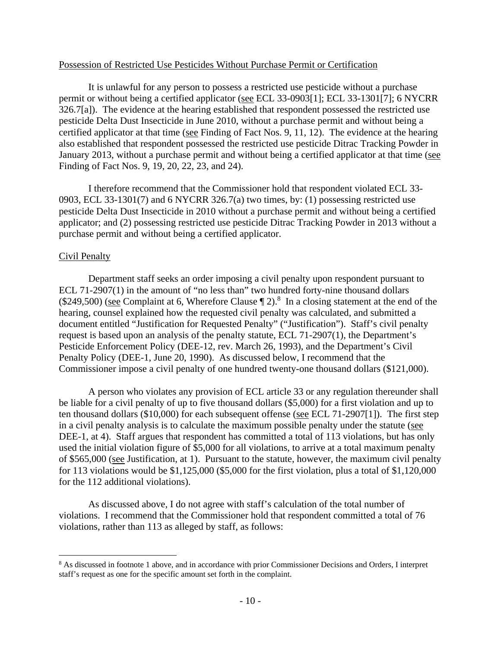### Possession of Restricted Use Pesticides Without Purchase Permit or Certification

 It is unlawful for any person to possess a restricted use pesticide without a purchase permit or without being a certified applicator (see ECL 33-0903[1]; ECL 33-1301[7]; 6 NYCRR 326.7[a]). The evidence at the hearing established that respondent possessed the restricted use pesticide Delta Dust Insecticide in June 2010, without a purchase permit and without being a certified applicator at that time (see Finding of Fact Nos. 9, 11, 12). The evidence at the hearing also established that respondent possessed the restricted use pesticide Ditrac Tracking Powder in January 2013, without a purchase permit and without being a certified applicator at that time (see Finding of Fact Nos. 9, 19, 20, 22, 23, and 24).

I therefore recommend that the Commissioner hold that respondent violated ECL 33- 0903, ECL 33-1301(7) and 6 NYCRR 326.7(a) two times, by: (1) possessing restricted use pesticide Delta Dust Insecticide in 2010 without a purchase permit and without being a certified applicator; and (2) possessing restricted use pesticide Ditrac Tracking Powder in 2013 without a purchase permit and without being a certified applicator.

### Civil Penalty

 $\overline{a}$ 

 Department staff seeks an order imposing a civil penalty upon respondent pursuant to ECL 71-2907(1) in the amount of "no less than" two hundred forty-nine thousand dollars  $(\$249,500)$  (see Complaint at 6, Wherefore Clause  $\P$  2).<sup>8</sup> In a closing statement at the end of the hearing, counsel explained how the requested civil penalty was calculated, and submitted a document entitled "Justification for Requested Penalty" ("Justification"). Staff's civil penalty request is based upon an analysis of the penalty statute, ECL 71-2907(1), the Department's Pesticide Enforcement Policy (DEE-12, rev. March 26, 1993), and the Department's Civil Penalty Policy (DEE-1, June 20, 1990). As discussed below, I recommend that the Commissioner impose a civil penalty of one hundred twenty-one thousand dollars (\$121,000).

 A person who violates any provision of ECL article 33 or any regulation thereunder shall be liable for a civil penalty of up to five thousand dollars (\$5,000) for a first violation and up to ten thousand dollars (\$10,000) for each subsequent offense (see ECL 71-2907[1]). The first step in a civil penalty analysis is to calculate the maximum possible penalty under the statute (see DEE-1, at 4). Staff argues that respondent has committed a total of 113 violations, but has only used the initial violation figure of \$5,000 for all violations, to arrive at a total maximum penalty of \$565,000 (see Justification, at 1). Pursuant to the statute, however, the maximum civil penalty for 113 violations would be \$1,125,000 (\$5,000 for the first violation, plus a total of \$1,120,000 for the 112 additional violations).

As discussed above, I do not agree with staff's calculation of the total number of violations. I recommend that the Commissioner hold that respondent committed a total of 76 violations, rather than 113 as alleged by staff, as follows:

<sup>&</sup>lt;sup>8</sup> As discussed in footnote 1 above, and in accordance with prior Commissioner Decisions and Orders, I interpret staff's request as one for the specific amount set forth in the complaint.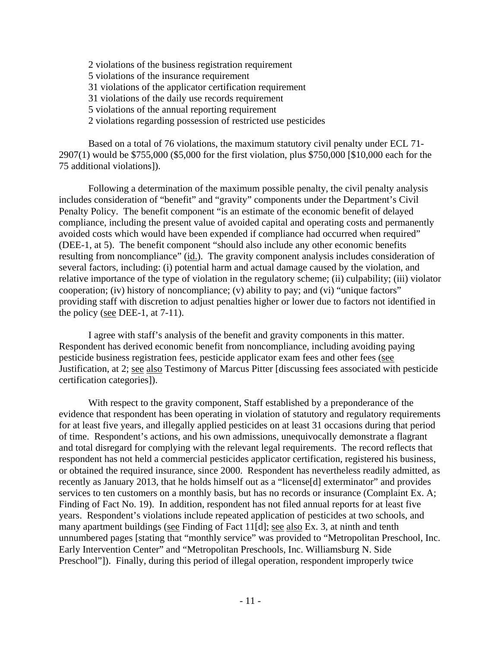2 violations of the business registration requirement 5 violations of the insurance requirement 31 violations of the applicator certification requirement 31 violations of the daily use records requirement 5 violations of the annual reporting requirement 2 violations regarding possession of restricted use pesticides

Based on a total of 76 violations, the maximum statutory civil penalty under ECL 71- 2907(1) would be \$755,000 (\$5,000 for the first violation, plus \$750,000 [\$10,000 each for the 75 additional violations]).

 Following a determination of the maximum possible penalty, the civil penalty analysis includes consideration of "benefit" and "gravity" components under the Department's Civil Penalty Policy. The benefit component "is an estimate of the economic benefit of delayed compliance, including the present value of avoided capital and operating costs and permanently avoided costs which would have been expended if compliance had occurred when required" (DEE-1, at 5). The benefit component "should also include any other economic benefits resulting from noncompliance" (id.). The gravity component analysis includes consideration of several factors, including: (i) potential harm and actual damage caused by the violation, and relative importance of the type of violation in the regulatory scheme; (ii) culpability; (iii) violator cooperation; (iv) history of noncompliance; (v) ability to pay; and (vi) "unique factors" providing staff with discretion to adjust penalties higher or lower due to factors not identified in the policy (see DEE-1, at 7-11).

I agree with staff's analysis of the benefit and gravity components in this matter. Respondent has derived economic benefit from noncompliance, including avoiding paying pesticide business registration fees, pesticide applicator exam fees and other fees (see Justification, at 2; see also Testimony of Marcus Pitter [discussing fees associated with pesticide certification categories]).

With respect to the gravity component, Staff established by a preponderance of the evidence that respondent has been operating in violation of statutory and regulatory requirements for at least five years, and illegally applied pesticides on at least 31 occasions during that period of time. Respondent's actions, and his own admissions, unequivocally demonstrate a flagrant and total disregard for complying with the relevant legal requirements. The record reflects that respondent has not held a commercial pesticides applicator certification, registered his business, or obtained the required insurance, since 2000. Respondent has nevertheless readily admitted, as recently as January 2013, that he holds himself out as a "license[d] exterminator" and provides services to ten customers on a monthly basis, but has no records or insurance (Complaint Ex. A; Finding of Fact No. 19). In addition, respondent has not filed annual reports for at least five years. Respondent's violations include repeated application of pesticides at two schools, and many apartment buildings (see Finding of Fact 11[d]; see also Ex. 3, at ninth and tenth unnumbered pages [stating that "monthly service" was provided to "Metropolitan Preschool, Inc. Early Intervention Center" and "Metropolitan Preschools, Inc. Williamsburg N. Side Preschool"]). Finally, during this period of illegal operation, respondent improperly twice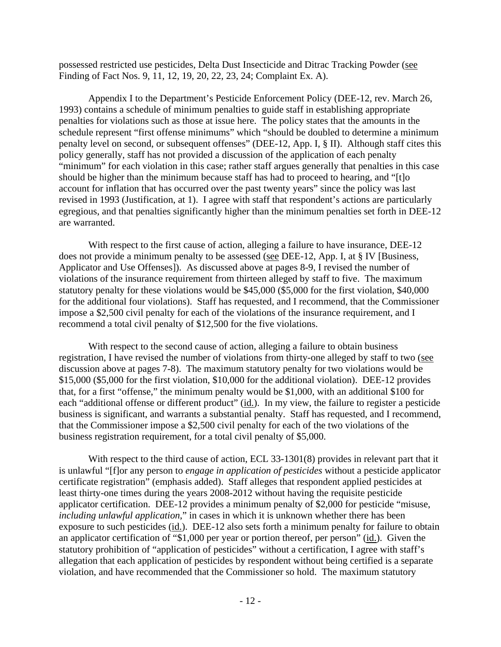possessed restricted use pesticides, Delta Dust Insecticide and Ditrac Tracking Powder (see Finding of Fact Nos. 9, 11, 12, 19, 20, 22, 23, 24; Complaint Ex. A).

Appendix I to the Department's Pesticide Enforcement Policy (DEE-12, rev. March 26, 1993) contains a schedule of minimum penalties to guide staff in establishing appropriate penalties for violations such as those at issue here. The policy states that the amounts in the schedule represent "first offense minimums" which "should be doubled to determine a minimum penalty level on second, or subsequent offenses" (DEE-12, App. I, § II). Although staff cites this policy generally, staff has not provided a discussion of the application of each penalty "minimum" for each violation in this case; rather staff argues generally that penalties in this case should be higher than the minimum because staff has had to proceed to hearing, and "[t]o account for inflation that has occurred over the past twenty years" since the policy was last revised in 1993 (Justification, at 1). I agree with staff that respondent's actions are particularly egregious, and that penalties significantly higher than the minimum penalties set forth in DEE-12 are warranted.

With respect to the first cause of action, alleging a failure to have insurance, DEE-12 does not provide a minimum penalty to be assessed (see DEE-12, App. I, at § IV [Business, Applicator and Use Offenses]). As discussed above at pages 8-9, I revised the number of violations of the insurance requirement from thirteen alleged by staff to five. The maximum statutory penalty for these violations would be \$45,000 (\$5,000 for the first violation, \$40,000 for the additional four violations). Staff has requested, and I recommend, that the Commissioner impose a \$2,500 civil penalty for each of the violations of the insurance requirement, and I recommend a total civil penalty of \$12,500 for the five violations.

With respect to the second cause of action, alleging a failure to obtain business registration, I have revised the number of violations from thirty-one alleged by staff to two (see discussion above at pages 7-8). The maximum statutory penalty for two violations would be \$15,000 (\$5,000 for the first violation, \$10,000 for the additional violation). DEE-12 provides that, for a first "offense," the minimum penalty would be \$1,000, with an additional \$100 for each "additional offense or different product" (id.). In my view, the failure to register a pesticide business is significant, and warrants a substantial penalty. Staff has requested, and I recommend, that the Commissioner impose a \$2,500 civil penalty for each of the two violations of the business registration requirement, for a total civil penalty of \$5,000.

With respect to the third cause of action, ECL 33-1301(8) provides in relevant part that it is unlawful "[f]or any person to *engage in application of pesticides* without a pesticide applicator certificate registration" (emphasis added). Staff alleges that respondent applied pesticides at least thirty-one times during the years 2008-2012 without having the requisite pesticide applicator certification. DEE-12 provides a minimum penalty of \$2,000 for pesticide "misuse, *including unlawful application*," in cases in which it is unknown whether there has been exposure to such pesticides (id.). DEE-12 also sets forth a minimum penalty for failure to obtain an applicator certification of "\$1,000 per year or portion thereof, per person" (id.). Given the statutory prohibition of "application of pesticides" without a certification, I agree with staff's allegation that each application of pesticides by respondent without being certified is a separate violation, and have recommended that the Commissioner so hold. The maximum statutory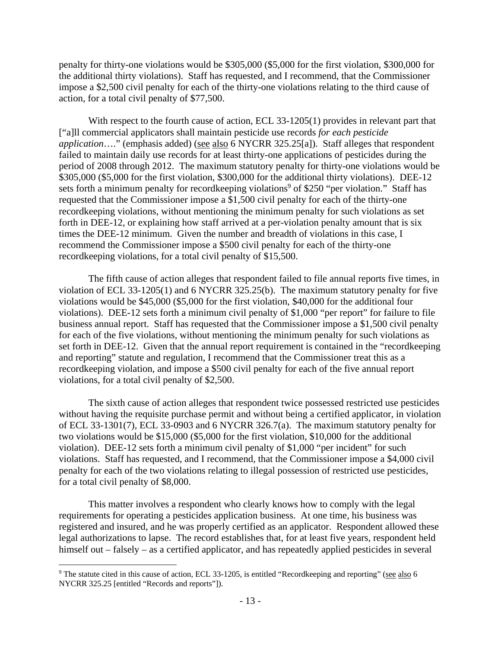penalty for thirty-one violations would be \$305,000 (\$5,000 for the first violation, \$300,000 for the additional thirty violations). Staff has requested, and I recommend, that the Commissioner impose a \$2,500 civil penalty for each of the thirty-one violations relating to the third cause of action, for a total civil penalty of \$77,500.

With respect to the fourth cause of action, ECL 33-1205(1) provides in relevant part that ["a]ll commercial applicators shall maintain pesticide use records *for each pesticide application*…." (emphasis added) (see also 6 NYCRR 325.25[a]). Staff alleges that respondent failed to maintain daily use records for at least thirty-one applications of pesticides during the period of 2008 through 2012. The maximum statutory penalty for thirty-one violations would be \$305,000 (\$5,000 for the first violation, \$300,000 for the additional thirty violations). DEE-12 sets forth a minimum penalty for recordkeeping violations<sup>9</sup> of \$250 "per violation." Staff has requested that the Commissioner impose a \$1,500 civil penalty for each of the thirty-one recordkeeping violations, without mentioning the minimum penalty for such violations as set forth in DEE-12, or explaining how staff arrived at a per-violation penalty amount that is six times the DEE-12 minimum. Given the number and breadth of violations in this case, I recommend the Commissioner impose a \$500 civil penalty for each of the thirty-one recordkeeping violations, for a total civil penalty of \$15,500.

The fifth cause of action alleges that respondent failed to file annual reports five times, in violation of ECL 33-1205(1) and 6 NYCRR 325.25(b). The maximum statutory penalty for five violations would be \$45,000 (\$5,000 for the first violation, \$40,000 for the additional four violations). DEE-12 sets forth a minimum civil penalty of \$1,000 "per report" for failure to file business annual report. Staff has requested that the Commissioner impose a \$1,500 civil penalty for each of the five violations, without mentioning the minimum penalty for such violations as set forth in DEE-12. Given that the annual report requirement is contained in the "recordkeeping and reporting" statute and regulation, I recommend that the Commissioner treat this as a recordkeeping violation, and impose a \$500 civil penalty for each of the five annual report violations, for a total civil penalty of \$2,500.

The sixth cause of action alleges that respondent twice possessed restricted use pesticides without having the requisite purchase permit and without being a certified applicator, in violation of ECL 33-1301(7), ECL 33-0903 and 6 NYCRR 326.7(a). The maximum statutory penalty for two violations would be \$15,000 (\$5,000 for the first violation, \$10,000 for the additional violation). DEE-12 sets forth a minimum civil penalty of \$1,000 "per incident" for such violations. Staff has requested, and I recommend, that the Commissioner impose a \$4,000 civil penalty for each of the two violations relating to illegal possession of restricted use pesticides, for a total civil penalty of \$8,000.

This matter involves a respondent who clearly knows how to comply with the legal requirements for operating a pesticides application business. At one time, his business was registered and insured, and he was properly certified as an applicator. Respondent allowed these legal authorizations to lapse. The record establishes that, for at least five years, respondent held himself out – falsely – as a certified applicator, and has repeatedly applied pesticides in several

 $\overline{a}$ 

<sup>&</sup>lt;sup>9</sup> The statute cited in this cause of action, ECL 33-1205, is entitled "Recordkeeping and reporting" (see also 6 NYCRR 325.25 [entitled "Records and reports"]).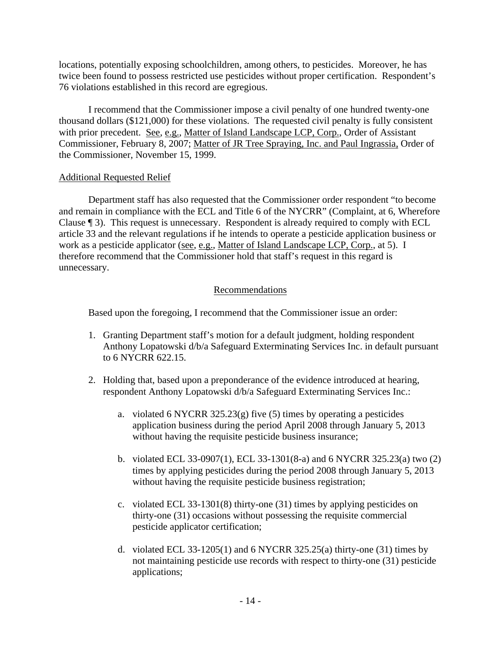locations, potentially exposing schoolchildren, among others, to pesticides. Moreover, he has twice been found to possess restricted use pesticides without proper certification. Respondent's 76 violations established in this record are egregious.

I recommend that the Commissioner impose a civil penalty of one hundred twenty-one thousand dollars (\$121,000) for these violations. The requested civil penalty is fully consistent with prior precedent. See, e.g., Matter of Island Landscape LCP, Corp., Order of Assistant Commissioner, February 8, 2007; Matter of JR Tree Spraying, Inc. and Paul Ingrassia, Order of the Commissioner, November 15, 1999.

## Additional Requested Relief

 Department staff has also requested that the Commissioner order respondent "to become and remain in compliance with the ECL and Title 6 of the NYCRR" (Complaint, at 6, Wherefore Clause ¶ 3). This request is unnecessary. Respondent is already required to comply with ECL article 33 and the relevant regulations if he intends to operate a pesticide application business or work as a pesticide applicator (see, e.g., Matter of Island Landscape LCP, Corp., at 5). I therefore recommend that the Commissioner hold that staff's request in this regard is unnecessary.

### Recommendations

Based upon the foregoing, I recommend that the Commissioner issue an order:

- 1. Granting Department staff's motion for a default judgment, holding respondent Anthony Lopatowski d/b/a Safeguard Exterminating Services Inc. in default pursuant to 6 NYCRR 622.15.
- 2. Holding that, based upon a preponderance of the evidence introduced at hearing, respondent Anthony Lopatowski d/b/a Safeguard Exterminating Services Inc.:
	- a. violated 6 NYCRR 325.23(g) five (5) times by operating a pesticides application business during the period April 2008 through January 5, 2013 without having the requisite pesticide business insurance;
	- b. violated ECL 33-0907(1), ECL 33-1301(8-a) and 6 NYCRR 325.23(a) two (2) times by applying pesticides during the period 2008 through January 5, 2013 without having the requisite pesticide business registration;
	- c. violated ECL 33-1301(8) thirty-one (31) times by applying pesticides on thirty-one (31) occasions without possessing the requisite commercial pesticide applicator certification;
	- d. violated ECL 33-1205(1) and 6 NYCRR 325.25(a) thirty-one (31) times by not maintaining pesticide use records with respect to thirty-one (31) pesticide applications;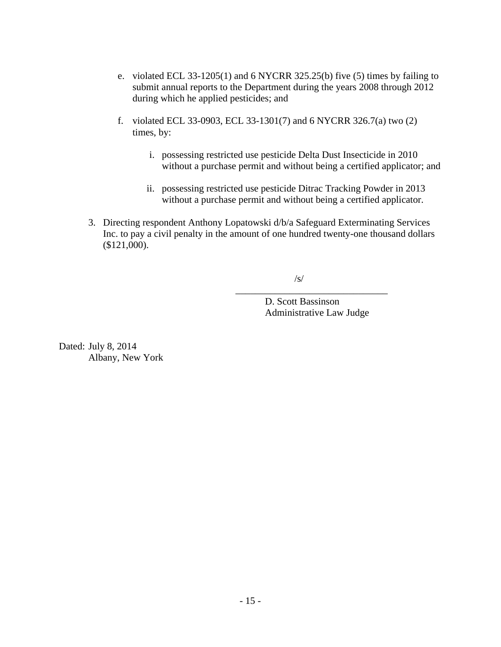- e. violated ECL 33-1205(1) and 6 NYCRR 325.25(b) five (5) times by failing to submit annual reports to the Department during the years 2008 through 2012 during which he applied pesticides; and
- f. violated ECL 33-0903, ECL 33-1301(7) and 6 NYCRR 326.7(a) two (2) times, by:
	- i. possessing restricted use pesticide Delta Dust Insecticide in 2010 without a purchase permit and without being a certified applicator; and
	- ii. possessing restricted use pesticide Ditrac Tracking Powder in 2013 without a purchase permit and without being a certified applicator.
- 3. Directing respondent Anthony Lopatowski d/b/a Safeguard Exterminating Services Inc. to pay a civil penalty in the amount of one hundred twenty-one thousand dollars (\$121,000).

/s/

D. Scott Bassinson Administrative Law Judge

\_\_\_\_\_\_\_\_\_\_\_\_\_\_\_\_\_\_\_\_\_\_\_\_\_\_\_\_\_\_\_

Dated: July 8, 2014 Albany, New York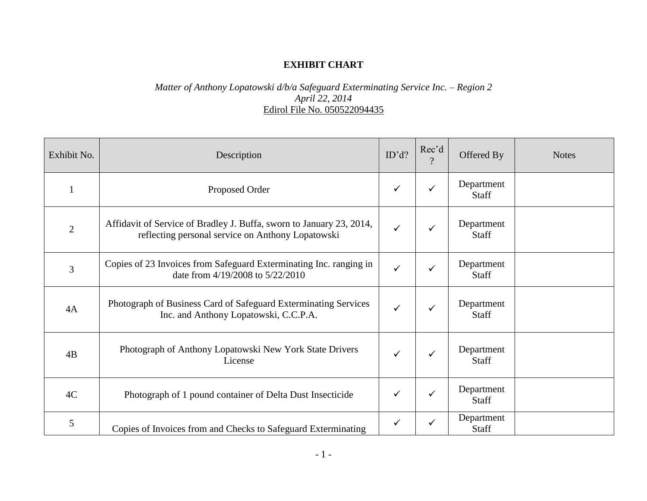# **EXHIBIT CHART**

## *Matter of Anthony Lopatowski d/b/a Safeguard Exterminating Service Inc. – Region 2 April 22, 2014* Edirol File No. 050522094435

| Exhibit No.    | Description                                                                                                               | ID'd?        | Rec'd<br>$\gamma$ | Offered By                 | <b>Notes</b> |
|----------------|---------------------------------------------------------------------------------------------------------------------------|--------------|-------------------|----------------------------|--------------|
|                | Proposed Order                                                                                                            | $\checkmark$ | $\checkmark$      | Department<br><b>Staff</b> |              |
| $\overline{2}$ | Affidavit of Service of Bradley J. Buffa, sworn to January 23, 2014,<br>reflecting personal service on Anthony Lopatowski | $\checkmark$ | $\checkmark$      | Department<br><b>Staff</b> |              |
| 3              | Copies of 23 Invoices from Safeguard Exterminating Inc. ranging in<br>date from 4/19/2008 to 5/22/2010                    | $\checkmark$ | $\checkmark$      | Department<br><b>Staff</b> |              |
| 4A             | Photograph of Business Card of Safeguard Exterminating Services<br>Inc. and Anthony Lopatowski, C.C.P.A.                  | $\checkmark$ | $\checkmark$      | Department<br><b>Staff</b> |              |
| 4B             | Photograph of Anthony Lopatowski New York State Drivers<br>License                                                        | ✓            | $\checkmark$      | Department<br>Staff        |              |
| 4C             | Photograph of 1 pound container of Delta Dust Insecticide                                                                 | ✓            | $\checkmark$      | Department<br>Staff        |              |
| 5              | Copies of Invoices from and Checks to Safeguard Exterminating                                                             | $\checkmark$ | ✓                 | Department<br>Staff        |              |